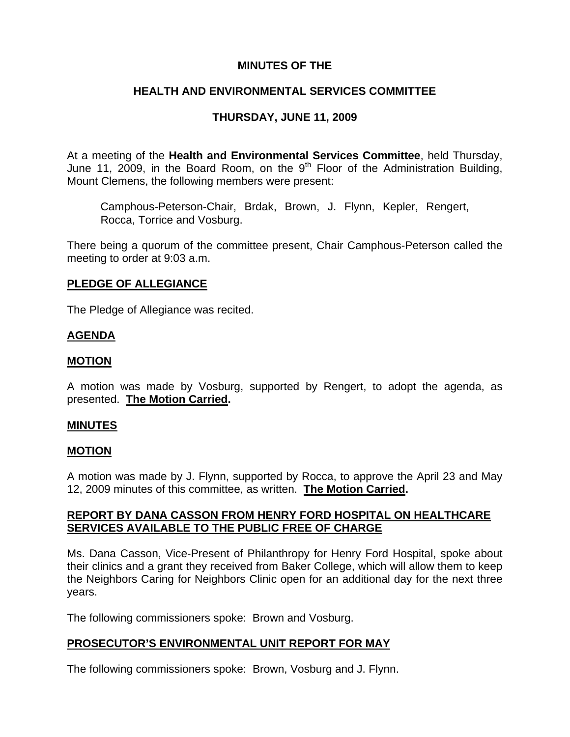## **MINUTES OF THE**

## **HEALTH AND ENVIRONMENTAL SERVICES COMMITTEE**

## **THURSDAY, JUNE 11, 2009**

At a meeting of the **Health and Environmental Services Committee**, held Thursday, June 11, 2009, in the Board Room, on the 9<sup>th</sup> Floor of the Administration Building, Mount Clemens, the following members were present:

Camphous-Peterson-Chair, Brdak, Brown, J. Flynn, Kepler, Rengert, Rocca, Torrice and Vosburg.

There being a quorum of the committee present, Chair Camphous-Peterson called the meeting to order at 9:03 a.m.

## **PLEDGE OF ALLEGIANCE**

The Pledge of Allegiance was recited.

## **AGENDA**

## **MOTION**

A motion was made by Vosburg, supported by Rengert, to adopt the agenda, as presented. **The Motion Carried.** 

#### **MINUTES**

#### **MOTION**

A motion was made by J. Flynn, supported by Rocca, to approve the April 23 and May 12, 2009 minutes of this committee, as written. **The Motion Carried.** 

## **REPORT BY DANA CASSON FROM HENRY FORD HOSPITAL ON HEALTHCARE SERVICES AVAILABLE TO THE PUBLIC FREE OF CHARGE**

Ms. Dana Casson, Vice-Present of Philanthropy for Henry Ford Hospital, spoke about their clinics and a grant they received from Baker College, which will allow them to keep the Neighbors Caring for Neighbors Clinic open for an additional day for the next three years.

The following commissioners spoke: Brown and Vosburg.

## **PROSECUTOR'S ENVIRONMENTAL UNIT REPORT FOR MAY**

The following commissioners spoke: Brown, Vosburg and J. Flynn.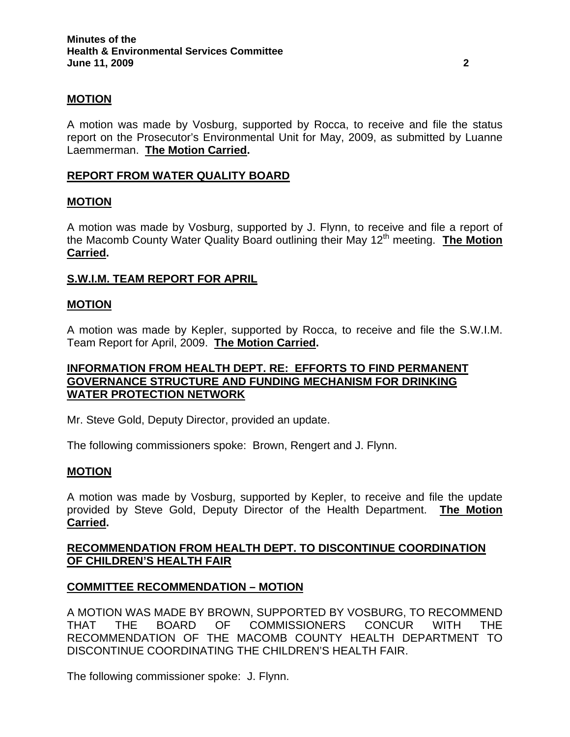## **MOTION**

A motion was made by Vosburg, supported by Rocca, to receive and file the status report on the Prosecutor's Environmental Unit for May, 2009, as submitted by Luanne Laemmerman. **The Motion Carried.** 

### **REPORT FROM WATER QUALITY BOARD**

#### **MOTION**

A motion was made by Vosburg, supported by J. Flynn, to receive and file a report of the Macomb County Water Quality Board outlining their May 12<sup>th</sup> meeting. **The Motion Carried.** 

#### **S.W.I.M. TEAM REPORT FOR APRIL**

#### **MOTION**

A motion was made by Kepler, supported by Rocca, to receive and file the S.W.I.M. Team Report for April, 2009. **The Motion Carried.** 

## **INFORMATION FROM HEALTH DEPT. RE: EFFORTS TO FIND PERMANENT GOVERNANCE STRUCTURE AND FUNDING MECHANISM FOR DRINKING WATER PROTECTION NETWORK**

Mr. Steve Gold, Deputy Director, provided an update.

The following commissioners spoke: Brown, Rengert and J. Flynn.

#### **MOTION**

A motion was made by Vosburg, supported by Kepler, to receive and file the update provided by Steve Gold, Deputy Director of the Health Department. **The Motion Carried.** 

## **RECOMMENDATION FROM HEALTH DEPT. TO DISCONTINUE COORDINATION OF CHILDREN'S HEALTH FAIR**

#### **COMMITTEE RECOMMENDATION – MOTION**

A MOTION WAS MADE BY BROWN, SUPPORTED BY VOSBURG, TO RECOMMEND THAT THE BOARD OF COMMISSIONERS CONCUR WITH THE RECOMMENDATION OF THE MACOMB COUNTY HEALTH DEPARTMENT TO DISCONTINUE COORDINATING THE CHILDREN'S HEALTH FAIR.

The following commissioner spoke: J. Flynn.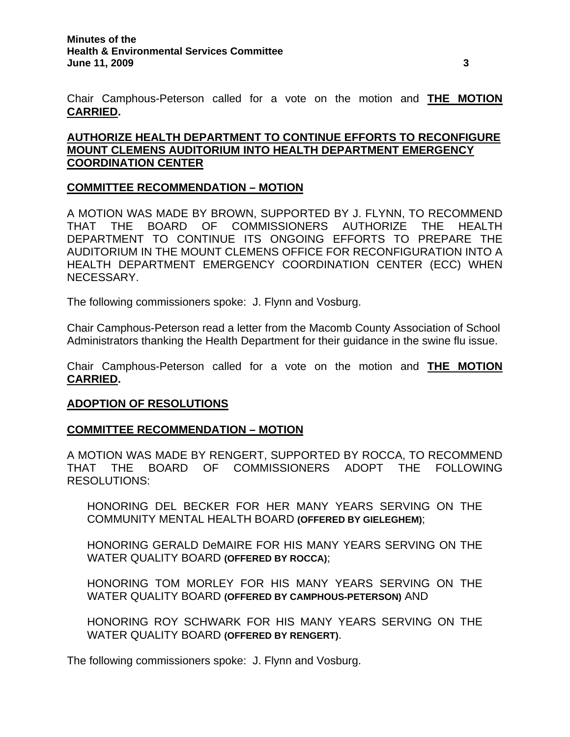Chair Camphous-Peterson called for a vote on the motion and **THE MOTION CARRIED.** 

# **AUTHORIZE HEALTH DEPARTMENT TO CONTINUE EFFORTS TO RECONFIGURE MOUNT CLEMENS AUDITORIUM INTO HEALTH DEPARTMENT EMERGENCY COORDINATION CENTER**

## **COMMITTEE RECOMMENDATION – MOTION**

A MOTION WAS MADE BY BROWN, SUPPORTED BY J. FLYNN, TO RECOMMEND THAT THE BOARD OF COMMISSIONERS AUTHORIZE THE HEALTH DEPARTMENT TO CONTINUE ITS ONGOING EFFORTS TO PREPARE THE AUDITORIUM IN THE MOUNT CLEMENS OFFICE FOR RECONFIGURATION INTO A HEALTH DEPARTMENT EMERGENCY COORDINATION CENTER (ECC) WHEN NECESSARY.

The following commissioners spoke: J. Flynn and Vosburg.

Chair Camphous-Peterson read a letter from the Macomb County Association of School Administrators thanking the Health Department for their guidance in the swine flu issue.

Chair Camphous-Peterson called for a vote on the motion and **THE MOTION CARRIED.** 

#### **ADOPTION OF RESOLUTIONS**

#### **COMMITTEE RECOMMENDATION – MOTION**

A MOTION WAS MADE BY RENGERT, SUPPORTED BY ROCCA, TO RECOMMEND THAT THE BOARD OF COMMISSIONERS ADOPT THE FOLLOWING RESOLUTIONS:

HONORING DEL BECKER FOR HER MANY YEARS SERVING ON THE COMMUNITY MENTAL HEALTH BOARD **(OFFERED BY GIELEGHEM)**;

HONORING GERALD DeMAIRE FOR HIS MANY YEARS SERVING ON THE WATER QUALITY BOARD **(OFFERED BY ROCCA)**;

HONORING TOM MORLEY FOR HIS MANY YEARS SERVING ON THE WATER QUALITY BOARD **(OFFERED BY CAMPHOUS-PETERSON)** AND

HONORING ROY SCHWARK FOR HIS MANY YEARS SERVING ON THE WATER QUALITY BOARD **(OFFERED BY RENGERT)**.

The following commissioners spoke: J. Flynn and Vosburg.